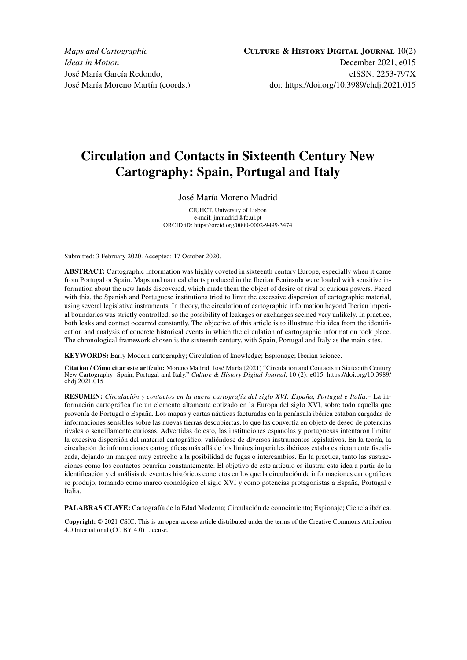# **Circulation and Contacts in Sixteenth Century New Cartography: Spain, Portugal and Italy**

# José María Moreno Madrid

CIUHCT. University of Lisbon e-mail: [jmmadrid@fc.ul.pt](mailto:jmmadrid@fc.ul.pt) ORCID iD: [https://orcid.org/0](https://orcid.org/)000-0002-9499-3474

Submitted: 3 February 2020. Accepted: 17 October 2020.

**ABSTRACT:** Cartographic information was highly coveted in sixteenth century Europe, especially when it came from Portugal or Spain. Maps and nautical charts produced in the Iberian Peninsula were loaded with sensitive information about the new lands discovered, which made them the object of desire of rival or curious powers. Faced with this, the Spanish and Portuguese institutions tried to limit the excessive dispersion of cartographic material, using several legislative instruments. In theory, the circulation of cartographic information beyond Iberian imperial boundaries was strictly controlled, so the possibility of leakages or exchanges seemed very unlikely. In practice, both leaks and contact occurred constantly. The objective of this article is to illustrate this idea from the identification and analysis of concrete historical events in which the circulation of cartographic information took place. The chronological framework chosen is the sixteenth century, with Spain, Portugal and Italy as the main sites.

**KEYWORDS:** Early Modern cartography; Circulation of knowledge; Espionage; Iberian science.

**Citation / Cómo citar este artículo:** Moreno Madrid, José María (2021) "Circulation and Contacts in Sixteenth Century New Cartography: Spain, Portugal and Italy." *Culture & History Digital Journal,* 10 (2): e015. [https://doi.org/10.3989/](https://doi.org/10.3989/chdj.2021.015) [chdj.2021.015](https://doi.org/10.3989/chdj.2021.015)

**RESUMEN:** *Circulación y contactos en la nueva cartografía del siglo XVI: España, Portugal e Italia.‒* La información cartográfica fue un elemento altamente cotizado en la Europa del siglo XVI, sobre todo aquella que provenía de Portugal o España. Los mapas y cartas náuticas facturadas en la península ibérica estaban cargadas de informaciones sensibles sobre las nuevas tierras descubiertas, lo que las convertía en objeto de deseo de potencias rivales o sencillamente curiosas. Advertidas de esto, las instituciones españolas y portuguesas intentaron limitar la excesiva dispersión del material cartográfico, valiéndose de diversos instrumentos legislativos. En la teoría, la circulación de informaciones cartográficas más allá de los límites imperiales ibéricos estaba estrictamente fiscalizada, dejando un margen muy estrecho a la posibilidad de fugas o intercambios. En la práctica, tanto las sustracciones como los contactos ocurrían constantemente. El objetivo de este artículo es ilustrar esta idea a partir de la identificación y el análisis de eventos históricos concretos en los que la circulación de informaciones cartográficas se produjo, tomando como marco cronológico el siglo XVI y como potencias protagonistas a España, Portugal e Italia.

**PALABRAS CLAVE:** Cartografía de la Edad Moderna; Circulación de conocimiento; Espionaje; Ciencia ibérica.

**Copyright:** © 2021 CSIC. This is an open-access article distributed under the terms of the Creative Commons Attribution 4.0 International (CC BY 4.0) License.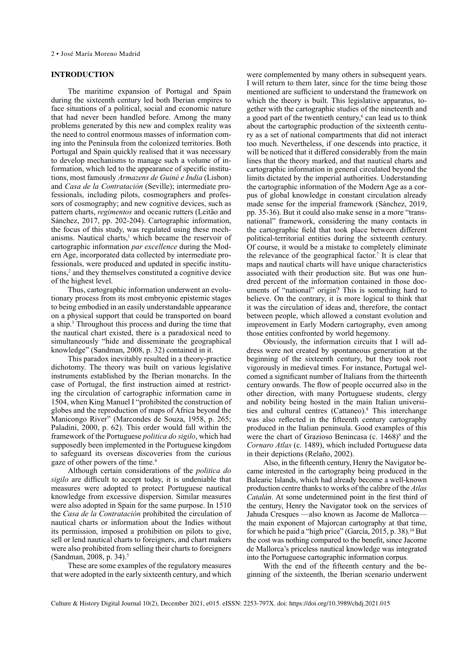### <span id="page-1-0"></span>**INTRODUCTION**

The maritime expansion of Portugal and Spain during the sixteenth century led both Iberian empires to face situations of a political, social and economic nature that had never been handled before. Among the many problems generated by this new and complex reality was the need to control enormous masses of information coming into the Peninsula from the colonized territories. Both Portugal and Spain quickly realised that it was necessary to develop mechanisms to manage such a volume of information, which led to the appearance of specific institutions, most famously *Armazens de Guiné e India* (Lisbon) and *Casa de la Contratación* (Seville); intermediate professionals, including pilots, cosmographers and professors of cosmography; and new cognitive devices, such as pattern charts, *regimentos* and oceanic rutters (Leitão and Sánchez, 2017, pp. 202-204). Cartographic information, the focus of this study, was regulated using these mechanisms. Nautical charts, $<sup>1</sup>$  $<sup>1</sup>$  $<sup>1</sup>$  which became the reservoir of</sup> cartographic information *par excellence* during the Modern Age, incorporated data collected by intermediate professionals, were produced and updated in specific institutions,<sup>2</sup> and they themselves constituted a cognitive device of the highest level.

Thus, cartographic information underwent an evolutionary process from its most embryonic epistemic stages to being embodied in an easily understandable appearance on a physical support that could be transported on board a ship.[3](#page-10-0) Throughout this process and during the time that the nautical chart existed, there is a paradoxical need to simultaneously "hide and disseminate the geographical knowledge" (Sandman, 2008, p. 32) contained in it.

This paradox inevitably resulted in a theory-practice dichotomy. The theory was built on various legislative instruments established by the Iberian monarchs. In the case of Portugal, the first instruction aimed at restricting the circulation of cartographic information came in 1504, when King Manuel I "prohibited the construction of globes and the reproduction of maps of Africa beyond the Manicongo River" (Marcondes de Souza, 1958, p. 265; Paladini, 2000, p. 62). This order would fall within the framework of the Portuguese *politica do sigilo*, which had supposedly been implemented in the Portuguese kingdom to safeguard its overseas discoveries from the curious gaze of other powers of the time.<sup>4</sup>

Although certain considerations of the *politica do sigilo* are difficult to accept today, it is undeniable that measures were adopted to protect Portuguese nautical knowledge from excessive dispersion. Similar measures were also adopted in Spain for the same purpose. In 1510 the *Casa de la Contratación* prohibited the circulation of nautical charts or information about the Indies without its permission, imposed a prohibition on pilots to give, sell or lend nautical charts to foreigners, and chart makers were also prohibited from selling their charts to foreigners (Sandman, 2008, p. 34).[5](#page-10-0)

These are some examples of the regulatory measures that were adopted in the early sixteenth century, and which were complemented by many others in subsequent years. I will return to them later, since for the time being those mentioned are sufficient to understand the framework on which the theory is built. This legislative apparatus, together with the cartographic studies of the nineteenth and a good part of the twentieth century, $6$  can lead us to think about the cartographic production of the sixteenth century as a set of national compartments that did not interact too much. Nevertheless, if one descends into practice, it will be noticed that it differed considerably from the main lines that the theory marked, and that nautical charts and cartographic information in general circulated beyond the limits dictated by the imperial authorities. Understanding the cartographic information of the Modern Age as a corpus of global knowledge in constant circulation already made sense for the imperial framework (Sánchez, 2019, pp. 35-36). But it could also make sense in a more "transnational" framework, considering the many contacts in the cartographic field that took place between different political-territorial entities during the sixteenth century. Of course, it would be a mistake to completely eliminate the relevance of the geographical factor.<sup>7</sup> It is clear that maps and nautical charts will have unique characteristics associated with their production site. But was one hundred percent of the information contained in those documents of "national" origin? This is something hard to believe. On the contrary, it is more logical to think that it was the circulation of ideas and, therefore, the contact between people, which allowed a constant evolution and improvement in Early Modern cartography, even among those entities confronted by world hegemony.

Obviously, the information circuits that I will address were not created by spontaneous generation at the beginning of the sixteenth century, but they took root vigorously in medieval times. For instance, Portugal welcomed a significant number of Italians from the thirteenth century onwards. The flow of people occurred also in the other direction, with many Portuguese students, clergy and nobility being hosted in the main Italian universi-ties and cultural centres (Cattaneo).<sup>[8](#page-10-0)</sup> This interchange was also reflected in the fifteenth century cartography produced in the Italian peninsula. Good examples of this were the chart of Grazioso Benincasa (c.  $1468$ )<sup>9</sup> and the *Cornaro Atlas* (c. 1489), which included Portuguese data in their depictions (Relaño, 2002).

Also, in the fifteenth century, Henry the Navigator became interested in the cartography being produced in the Balearic Islands, which had already become a well-known production centre thanks to works of the calibre of the *Atlas Catalán*. At some undetermined point in the first third of the century, Henry the Navigator took on the services of Jahuda Cresques —also known as Jacome de Mallorca the main exponent of Majorcan cartography at that time, for which he paid a "high price" (García, 2015, p. 38)[.10](#page-11-0) But the cost was nothing compared to the benefit, since Jacome de Mallorca's priceless nautical knowledge was integrated into the Portuguese cartographic information corpus*.* 

With the end of the fifteenth century and the beginning of the sixteenth, the Iberian scenario underwent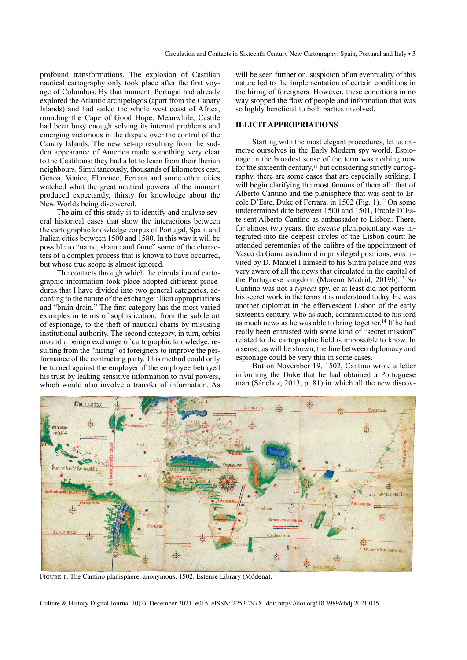<span id="page-2-0"></span>profound transformations. The explosion of Castilian nautical cartography only took place after the first voyage of Columbus. By that moment, Portugal had already explored the Atlantic archipelagos (apart from the Canary Islands) and had sailed the whole west coast of Africa, rounding the Cape of Good Hope. Meanwhile, Castile had been busy enough solving its internal problems and emerging victorious in the dispute over the control of the Canary Islands. The new set-up resulting from the sudden appearance of America made something very clear to the Castilians: they had a lot to learn from their Iberian neighbours. Simultaneously, thousands of kilometres east, Genoa, Venice, Florence, Ferrara and some other cities watched what the great nautical powers of the moment produced expectantly, thirsty for knowledge about the New Worlds being discovered.

The aim of this study is to identify and analyse several historical cases that show the interactions between the cartographic knowledge corpus of Portugal, Spain and Italian cities between 1500 and 1580. In this way it will be possible to "name, shame and fame" some of the characters of a complex process that is known to have occurred, but whose true scope is almost ignored.

The contacts through which the circulation of cartographic information took place adopted different procedures that I have divided into two general categories, according to the nature of the exchange: illicit appropriations and "brain drain." The first category has the most varied examples in terms of sophistication: from the subtle art of espionage, to the theft of nautical charts by misusing institutional authority. The second category, in turn, orbits around a benign exchange of cartographic knowledge, resulting from the "hiring" of foreigners to improve the performance of the contracting party. This method could only be turned against the employer if the employee betrayed his trust by leaking sensitive information to rival powers, which would also involve a transfer of information. As

will be seen further on, suspicion of an eventuality of this nature led to the implementation of certain conditions in the hiring of foreigners. However, these conditions in no way stopped the flow of people and information that was so highly beneficial to both parties involved.

# **ILLICIT APPROPRIATIONS**

Starting with the most elegant procedures, let us immerse ourselves in the Early Modern spy world. Espionage in the broadest sense of the term was nothing new for the sixteenth century,<sup>11</sup> but considering strictly cartography, there are some cases that are especially striking. I will begin clarifying the most famous of them all: that of Alberto Cantino and the planisphere that was sent to Ercole D'Este, Duke of Ferrara, in 1502 (Fig. 1)[.12](#page-11-0) On some undetermined date between 1500 and 1501, Ercole D'Este sent Alberto Cantino as ambassador to Lisbon. There, for almost two years, the *estense* plenipotentiary was integrated into the deepest circles of the Lisbon court: he attended ceremonies of the calibre of the appointment of Vasco da Gama as admiral in privileged positions, was invited by D. Manuel I himself to his Sintra palace and was very aware of all the news that circulated in the capital of the Portuguese kingdom (Moreno Madrid, 2019b).[13](#page-11-0) So Cantino was not a *typical* spy, or at least did not perform his secret work in the terms it is understood today. He was another diplomat in the effervescent Lisbon of the early sixteenth century, who as such, communicated to his lord as much news as he was able to bring together.[14](#page-11-0) If he had really been entrusted with some kind of "secret mission" related to the cartographic field is impossible to know. In a sense, as will be shown, the line between diplomacy and espionage could be very thin in some cases.

But on November 19, 1502, Cantino wrote a letter informing the Duke that he had obtained a Portuguese map (Sánchez, 2013, p. 81) in which all the new discov-



Figure 1. The Cantino planisphere, anonymous, 1502. Estense Library (Módena).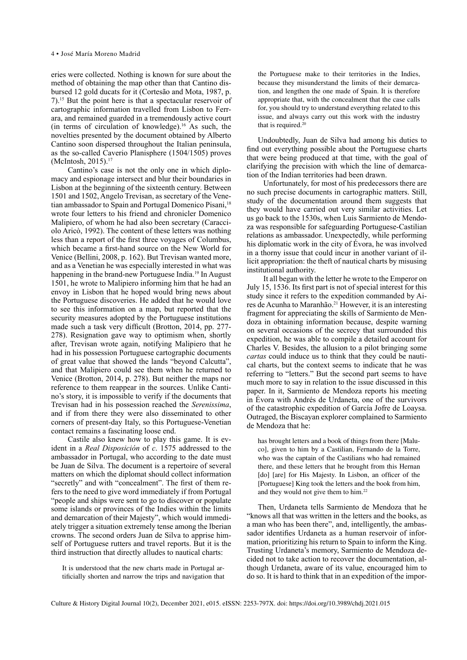<span id="page-3-0"></span>eries were collected. Nothing is known for sure about the method of obtaining the map other than that Cantino disbursed 12 gold ducats for it (Cortesão and Mota, 1987, p. 7)[.15](#page-11-0) But the point here is that a spectacular reservoir of cartographic information travelled from Lisbon to Ferrara, and remained guarded in a tremendously active court (in terms of circulation of knowledge).<sup>16</sup> As such, the novelties presented by the document obtained by Alberto Cantino soon dispersed throughout the Italian peninsula, as the so-called Caverio Planisphere (1504/1505) proves (McIntosh, 2015).[17](#page-11-0)

Cantino's case is not the only one in which diplomacy and espionage intersect and blur their boundaries in Lisbon at the beginning of the sixteenth century. Between 1501 and 1502, Angelo Trevisan, as secretary of the Vene-tian ambassador to Spain and Portugal Domenico Pisani,<sup>[18](#page-11-0)</sup> wrote four letters to his friend and chronicler Domenico Malipiero, of whom he had also been secretary (Caracciolo Aricò, 1992). The content of these letters was nothing less than a report of the first three voyages of Columbus, which became a first-hand source on the New World for Venice (Bellini, 2008, p. 162). But Trevisan wanted more, and as a Venetian he was especially interested in what was happening in the brand-new Portuguese India.<sup>19</sup> In August 1501, he wrote to Malipiero informing him that he had an envoy in Lisbon that he hoped would bring news about the Portuguese discoveries. He added that he would love to see this information on a map, but reported that the security measures adopted by the Portuguese institutions made such a task very difficult (Brotton, 2014, pp. 277- 278). Resignation gave way to optimism when, shortly after, Trevisan wrote again, notifying Malipiero that he had in his possession Portuguese cartographic documents of great value that showed the lands "beyond Calcutta", and that Malipiero could see them when he returned to Venice (Brotton, 2014, p. 278). But neither the maps nor reference to them reappear in the sources. Unlike Cantino's story, it is impossible to verify if the documents that Trevisan had in his possession reached the *Serenissima*, and if from there they were also disseminated to other corners of present-day Italy, so this Portuguese-Venetian contact remains a fascinating loose end.

Castile also knew how to play this game. It is evident in a *Real Disposición* of *c*. 1575 addressed to the ambassador in Portugal, who according to the date must be Juan de Silva. The document is a repertoire of several matters on which the diplomat should collect information "secretly" and with "concealment". The first of them refers to the need to give word immediately if from Portugal "people and ships were sent to go to discover or populate some islands or provinces of the Indies within the limits and demarcation of their Majesty", which would immediately trigger a situation extremely tense among the Iberian crowns. The second orders Juan de Silva to apprise himself of Portuguese rutters and travel reports. But it is the third instruction that directly alludes to nautical charts:

It is understood that the new charts made in Portugal artificially shorten and narrow the trips and navigation that

the Portuguese make to their territories in the Indies, because they misunderstand the limits of their demarcation, and lengthen the one made of Spain. It is therefore appropriate that, with the concealment that the case calls for, you should try to understand everything related to this issue, and always carry out this work with the industry that is required.<sup>20</sup>

Undoubtedly, Juan de Silva had among his duties to find out everything possible about the Portuguese charts that were being produced at that time, with the goal of clarifying the precision with which the line of demarcation of the Indian territories had been drawn.

Unfortunately, for most of his predecessors there are no such precise documents in cartographic matters. Still, study of the documentation around them suggests that they would have carried out very similar activities. Let us go back to the 1530s, when Luis Sarmiento de Mendoza was responsible for safeguarding Portuguese-Castilian relations as ambassador. Unexpectedly, while performing his diplomatic work in the city of Évora, he was involved in a thorny issue that could incur in another variant of illicit appropriation: the theft of nautical charts by misusing institutional authority.

It all began with the letter he wrote to the Emperor on July 15, 1536. Its first part is not of special interest for this study since it refers to the expedition commanded by Aires de Acunha to Maranhão[.21](#page-11-0) However, it is an interesting fragment for appreciating the skills of Sarmiento de Mendoza in obtaining information because, despite warning on several occasions of the secrecy that surrounded this expedition, he was able to compile a detailed account for Charles V. Besides, the allusion to a pilot bringing some *cartas* could induce us to think that they could be nautical charts, but the context seems to indicate that he was referring to "letters." But the second part seems to have much more to say in relation to the issue discussed in this paper. In it, Sarmiento de Mendoza reports his meeting in Évora with Andrés de Urdaneta, one of the survivors of the catastrophic expedition of García Jofre de Loaysa. Outraged, the Biscayan explorer complained to Sarmiento de Mendoza that he:

has brought letters and a book of things from there [Maluco], given to him by a Castilian, Fernando de la Torre, who was the captain of the Castilians who had remained there, and these letters that he brought from this Hernan [do] [are] for His Majesty. In Lisbon, an officer of the [Portuguese] King took the letters and the book from him, and they would not give them to him[.22](#page-11-0)

Then, Urdaneta tells Sarmiento de Mendoza that he "knows all that was written in the letters and the books, as a man who has been there", and, intelligently, the ambassador identifies Urdaneta as a human reservoir of information, prioritizing his return to Spain to inform the King. Trusting Urdaneta's memory, Sarmiento de Mendoza decided not to take action to recover the documentation, although Urdaneta, aware of its value, encouraged him to do so. It is hard to think that in an expedition of the impor-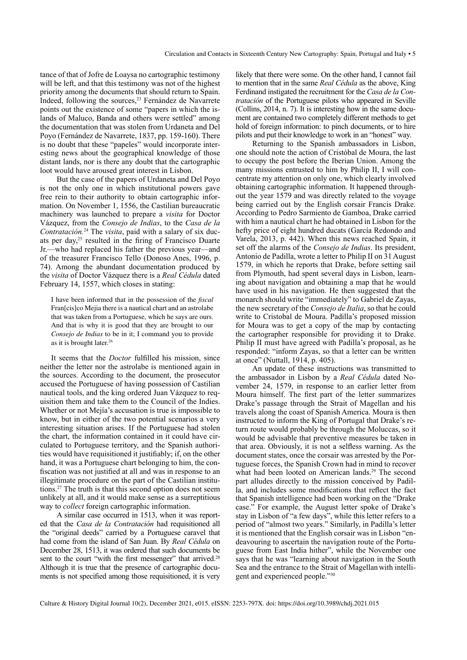<span id="page-4-0"></span>tance of that of Jofre de Loaysa no cartographic testimony will be left, and that this testimony was not of the highest priority among the documents that should return to Spain. Indeed, following the sources,<sup>23</sup> Fernández de Navarrete points out the existence of some "papers in which the islands of Maluco, Banda and others were settled" among the documentation that was stolen from Urdaneta and Del Poyo (Fernández de Navarrete, 1837, pp. 159-160). There is no doubt that these "papeles" would incorporate interesting news about the geographical knowledge of those distant lands, nor is there any doubt that the cartographic loot would have aroused great interest in Lisbon.

But the case of the papers of Urdaneta and Del Poyo is not the only one in which institutional powers gave free rein to their authority to obtain cartographic information. On November 1, 1556, the Castilian bureaucratic machinery was launched to prepare a *visita* for Doctor Vázquez, from the *Consejo de Indias*, to the *Casa de la Contratación.*[24](#page-11-0) The *visita*, paid with a salary of six ducats per day[,25](#page-11-0) resulted in the firing of Francisco Duarte Jr.—who had replaced his father the previous year—and of the treasurer Francisco Tello (Donoso Anes, 1996, p. 74). Among the abundant documentation produced by the *visita* of Doctor Vázquez there is a *Real Cédula* dated February 14, 1557, which closes in stating:

I have been informed that in the possession of the *fiscal*  Fran[cis]co Mejia there is a nautical chart and an astrolabe that was taken from a Portuguese, which he says are ours. And that is why it is good that they are brought to our *Consejo de Indias* to be in it; I command you to provide as it is brought later.<sup>26</sup>

It seems that the *Doctor* fulfilled his mission, since neither the letter nor the astrolabe is mentioned again in the sources. According to the document, the prosecutor accused the Portuguese of having possession of Castilian nautical tools, and the king ordered Juan Vázquez to requisition them and take them to the Council of the Indies. Whether or not Mejía's accusation is true is impossible to know, but in either of the two potential scenarios a very interesting situation arises. If the Portuguese had stolen the chart, the information contained in it could have circulated to Portuguese territory, and the Spanish authorities would have requisitioned it justifiably; if, on the other hand, it was a Portuguese chart belonging to him, the confiscation was not justified at all and was in response to an illegitimate procedure on the part of the Castilian institutions.[27](#page-11-0) The truth is that this second option does not seem unlikely at all, and it would make sense as a surreptitious way to *collect* foreign cartographic information.

A similar case occurred in 1513, when it was reported that the *Casa de la Contratación* had requisitioned all the "original deeds" carried by a Portuguese caravel that had come from the island of San Juan. By *Real Cédula* on December 28, 1513, it was ordered that such documents be sent to the court "with the first messenger" that arrived.<sup>[28](#page-11-0)</sup> Although it is true that the presence of cartographic documents is not specified among those requisitioned, it is very

likely that there were some. On the other hand, I cannot fail to mention that in the same *Real Cédula* as the above, King Ferdinand instigated the recruitment for the *Casa de la Contratación* of the Portuguese pilots who appeared in Seville (Collins, 2014, n. 7). It is interesting how in the same document are contained two completely different methods to get hold of foreign information: to pinch documents, or to hire pilots and put their knowledge to work in an "honest" way.

Returning to the Spanish ambassadors in Lisbon, one should note the action of Cristóbal de Moura, the last to occupy the post before the Iberian Union. Among the many missions entrusted to him by Philip II, I will concentrate my attention on only one, which clearly involved obtaining cartographic information. It happened throughout the year 1579 and was directly related to the voyage being carried out by the English corsair Francis Drake. According to Pedro Sarmiento de Gamboa, Drake carried with him a nautical chart he had obtained in Lisbon for the hefty price of eight hundred ducats (García Redondo and Varela, 2013, p. 442). When this news reached Spain, it set off the alarms of the *Consejo de Indias*. Its president, Antonio de Padilla, wrote a letter to Philip II on 31 August 1579, in which he reports that Drake, before setting sail from Plymouth, had spent several days in Lisbon, learning about navigation and obtaining a map that he would have used in his navigation. He then suggested that the monarch should write "immediately" to Gabriel de Zayas, the new secretary of the *Consejo de Italia*, so that he could write to Cristobal de Moura. Padilla's proposed mission for Moura was to get a copy of the map by contacting the cartographer responsible for providing it to Drake. Philip II must have agreed with Padilla's proposal, as he responded: "inform Zayas, so that a letter can be written at once" (Nuttall, 1914, p. 405).

An update of these instructions was transmitted to the ambassador in Lisbon by a *Real Cédula* dated November 24, 1579, in response to an earlier letter from Moura himself. The first part of the letter summarizes Drake's passage through the Strait of Magellan and his travels along the coast of Spanish America. Moura is then instructed to inform the King of Portugal that Drake's return route would probably be through the Moluccas, so it would be advisable that preventive measures be taken in that area. Obviously, it is not a selfless warning. As the document states, once the corsair was arrested by the Portuguese forces, the Spanish Crown had in mind to recover what had been looted on American lands.<sup>[29](#page-11-0)</sup> The second part alludes directly to the mission conceived by Padilla, and includes some modifications that reflect the fact that Spanish intelligence had been working on the "Drake case." For example, the August letter spoke of Drake's stay in Lisbon of "a few days", while this letter refers to a period of "almost two years." Similarly, in Padilla's letter it is mentioned that the English corsair was in Lisbon "endeavouring to ascertain the navigation route of the Portuguese from East India hither", while the November one says that he was "learning about navigation in the South Sea and the entrance to the Strait of Magellanwith intelligent and experienced people."[30](#page-11-0)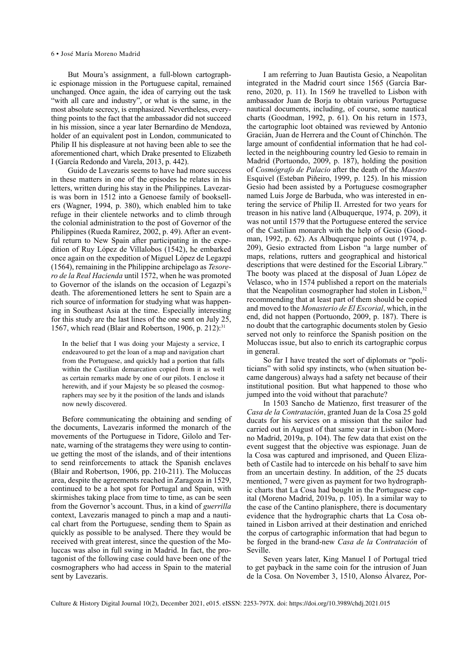<span id="page-5-0"></span>But Moura's assignment, a full-blown cartographic espionage mission in the Portuguese capital, remained unchanged. Once again, the idea of carrying out the task "with all care and industry", or what is the same, in the most absolute secrecy, is emphasized. Nevertheless, everything points to the fact that the ambassador did not succeed in his mission, since a year later Bernardino de Mendoza, holder of an equivalent post in London, communicated to Philip II his displeasure at not having been able to see the aforementioned chart, which Drake presented to Elizabeth I (García Redondo and Varela, 2013, p. 442).

Guido de Lavezaris seems to have had more success in these matters in one of the episodes he relates in his letters, written during his stay in the Philippines. Lavezaris was born in 1512 into a Genoese family of booksellers (Wagner, 1994, p. 380), which enabled him to take refuge in their clientele networks and to climb through the colonial administration to the post of Governor of the Philippines (Rueda Ramírez, 2002, p. 49). After an eventful return to New Spain after participating in the expedition of Ruy López de Villalobos (1542), he embarked once again on the expedition of Miguel López de Legazpi (1564), remaining in the Philippine archipelago as *Tesorero de la Real Hacienda* until 1572, when he was promoted to Governor of the islands on the occasion of Legazpi's death. The aforementioned letters he sent to Spain are a rich source of information for studying what was happening in Southeast Asia at the time. Especially interesting for this study are the last lines of the one sent on July 25, 1567, which read (Blair and Robertson, 1906, p. 212): $31$ 

In the belief that I was doing your Majesty a service, I endeavoured to get the loan of a map and navigation chart from the Portuguese, and quickly had a portion that falls within the Castilian demarcation copied from it as well as certain remarks made by one of our pilots. I enclose it herewith, and if your Majesty be so pleased the cosmographers may see by it the position of the lands and islands now newly discovered.

Before communicating the obtaining and sending of the documents, Lavezaris informed the monarch of the movements of the Portuguese in Tidore, Gilolo and Ternate, warning of the stratagems they were using to continue getting the most of the islands, and of their intentions to send reinforcements to attack the Spanish enclaves (Blair and Robertson, 1906, pp. 210-211). The Moluccas area, despite the agreements reached in Zaragoza in 1529, continued to be a hot spot for Portugal and Spain, with skirmishes taking place from time to time, as can be seen from the Governor's account. Thus, in a kind of *guerrilla* context, Lavezaris managed to pinch a map and a nautical chart from the Portuguese, sending them to Spain as quickly as possible to be analysed. There they would be received with great interest, since the question of the Moluccas was also in full swing in Madrid. In fact, the protagonist of the following case could have been one of the cosmographers who had access in Spain to the material sent by Lavezaris.

I am referring to Juan Bautista Gesio, a Neapolitan integrated in the Madrid court since 1565 (García Barreno, 2020, p. 11). In 1569 he travelled to Lisbon with ambassador Juan de Borja to obtain various Portuguese nautical documents, including, of course, some nautical charts (Goodman, 1992, p. 61). On his return in 1573, the cartographic loot obtained was reviewed by Antonio Gracián, Juan de Herrera and the Count of Chinchón. The large amount of confidential information that he had collected in the neighbouring country led Gesio to remain in Madrid (Portuondo, 2009, p. 187), holding the position of *Cosmógrafo de Palacio* after the death of the *Maestro* Esquivel (Esteban Piñeiro, 1999, p. 125). In his mission Gesio had been assisted by a Portuguese cosmographer named Luis Jorge de Barbuda, who was interested in entering the service of Philip II. Arrested for two years for treason in his native land (Albuquerque, 1974, p. 209), it was not until 1579 that the Portuguese entered the service of the Castilian monarch with the help of Gesio (Goodman, 1992, p. 62). As Albuquerque points out (1974, p. 209), Gesio extracted from Lisbon "a large number of maps, relations, rutters and geographical and historical descriptions that were destined for the Escorial Library." The booty was placed at the disposal of Juan López de Velasco, who in 1574 published a report on the materials that the Neapolitan cosmographer had stolen in Lisbon,<sup>32</sup> recommending that at least part of them should be copied and moved to the *Monasterio de El Escorial*, which, in the end, did not happen (Portuondo, 2009, p. 187). There is no doubt that the cartographic documents stolen by Gesio served not only to reinforce the Spanish position on the Moluccas issue, but also to enrich its cartographic corpus in general.

So far I have treated the sort of diplomats or "politicians" with solid spy instincts, who (when situation became dangerous) always had a safety net because of their institutional position. But what happened to those who jumped into the void without that parachute?

In 1503 Sancho de Matienzo, first treasurer of the *Casa de la Contratación*, granted Juan de la Cosa 25 gold ducats for his services on a mission that the sailor had carried out in August of that same year in Lisbon (Moreno Madrid, 2019a, p. 104). The few data that exist on the event suggest that the objective was espionage. Juan de la Cosa was captured and imprisoned, and Queen Elizabeth of Castile had to intercede on his behalf to save him from an uncertain destiny. In addition, of the 25 ducats mentioned, 7 were given as payment for two hydrographic charts that La Cosa had bought in the Portuguese capital (Moreno Madrid, 2019a, p. 105). In a similar way to the case of the Cantino planisphere, there is documentary evidence that the hydrographic charts that La Cosa obtained in Lisbon arrived at their destination and enriched the corpus of cartographic information that had begun to be forged in the brand-new *Casa de la Contratación* of Seville.

Seven years later, King Manuel I of Portugal tried to get payback in the same coin for the intrusion of Juan de la Cosa. On November 3, 1510, Alonso Álvarez, Por-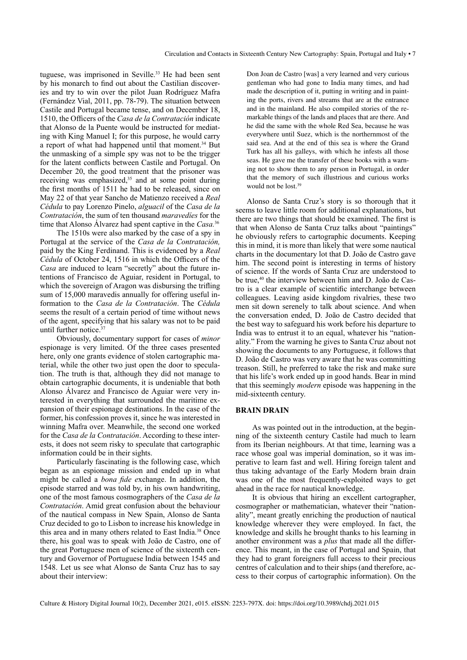<span id="page-6-0"></span>tuguese, was imprisoned in Seville.<sup>33</sup> He had been sent by his monarch to find out about the Castilian discoveries and try to win over the pilot Juan Rodríguez Mafra (Fernández Vial, 2011, pp. 78-79). The situation between Castile and Portugal became tense, and on December 18, 1510, the Officers of the *Casa de la Contratación* indicate that Alonso de la Puente would be instructed for mediating with King Manuel I; for this purpose, he would carry a report of what had happened until that moment.<sup>34</sup> But the unmasking of a simple spy was not to be the trigger for the latent conflicts between Castile and Portugal. On December 20, the good treatment that the prisoner was receiving was emphasized,<sup>[35](#page-11-0)</sup> and at some point during the first months of 1511 he had to be released, since on May 22 of that year Sancho de Matienzo received a *Real Cédula* to pay Lorenzo Pinelo, *alguacil* of the *Casa de la Contratación*, the sum of ten thousand *maravedíes* for the time that Alonso Álvarez had spent captive in the *Casa.*[36](#page-11-0)

The 1510s were also marked by the case of a spy in Portugal at the service of the *Casa de la Contratación,*  paid by the King Ferdinand. This is evidenced by a *Real Cédula* of October 24, 1516 in which the Officers of the *Casa* are induced to learn "secretly" about the future intentions of Francisco de Aguiar, resident in Portugal, to which the sovereign of Aragon was disbursing the trifling sum of 15,000 maravedis annually for offering useful information to the *Casa de la Contratación*. The *Cédula*  seems the result of a certain period of time without news of the agent, specifying that his salary was not to be paid until further notice.<sup>37</sup>

Obviously, documentary support for cases of *minor* espionage is very limited. Of the three cases presented here, only one grants evidence of stolen cartographic material, while the other two just open the door to speculation. The truth is that, although they did not manage to obtain cartographic documents, it is undeniable that both Alonso Álvarez and Francisco de Aguiar were very interested in everything that surrounded the maritime expansion of their espionage destinations. In the case of the former, his confession proves it, since he was interested in winning Mafra over. Meanwhile, the second one worked for the *Casa de la Contratación*. According to these interests, it does not seem risky to speculate that cartographic information could be in their sights.

Particularly fascinating is the following case, which began as an espionage mission and ended up in what might be called a *bona fide e*xchange. In addition, the episode starred and was told by, in his own handwriting, one of the most famous cosmographers of the *Casa de la Contratación*. Amid great confusion about the behaviour of the nautical compass in New Spain, Alonso de Santa Cruz decided to go to Lisbon to increase his knowledge in this area and in many others related to East India.[38](#page-11-0) Once there, his goal was to speak with João de Castro, one of the great Portuguese men of science of the sixteenth century and Governor of Portuguese India between 1545 and 1548. Let us see what Alonso de Santa Cruz has to say about their interview:

Don Joan de Castro [was] a very learned and very curious gentleman who had gone to India many times, and had made the description of it, putting in writing and in painting the ports, rivers and streams that are at the entrance and in the mainland. He also compiled stories of the remarkable things of the lands and places that are there. And he did the same with the whole Red Sea, because he was everywhere until Suez, which is the northernmost of the said sea. And at the end of this sea is where the Grand Turk has all his galleys, with which he infests all those seas. He gave me the transfer of these books with a warning not to show them to any person in Portugal, in order that the memory of such illustrious and curious works would not be lost[.39](#page-11-0)

Alonso de Santa Cruz's story is so thorough that it seems to leave little room for additional explanations, but there are two things that should be examined. The first is that when Alonso de Santa Cruz talks about "paintings" he obviously refers to cartographic documents. Keeping this in mind, it is more than likely that were some nautical charts in the documentary lot that D. João de Castro gave him. The second point is interesting in terms of history of science. If the words of Santa Cruz are understood to be true,<sup>40</sup> the interview between him and D. João de Castro is a clear example of scientific interchange between colleagues. Leaving aside kingdom rivalries, these two men sit down serenely to talk about science. And when the conversation ended, D. João de Castro decided that the best way to safeguard his work before his departure to India was to entrust it to an equal, whatever his "nationality." From the warning he gives to Santa Cruz about not showing the documents to any Portuguese, it follows that D. João de Castro was very aware that he was committing treason. Still, he preferred to take the risk and make sure that his life's work ended up in good hands. Bear in mind that this seemingly *modern* episode was happening in the mid-sixteenth century.

# **BRAIN DRAIN**

As was pointed out in the introduction, at the beginning of the sixteenth century Castile had much to learn from its Iberian neighbours. At that time, learning was a race whose goal was imperial domination, so it was imperative to learn fast and well. Hiring foreign talent and thus taking advantage of the Early Modern brain drain was one of the most frequently-exploited ways to get ahead in the race for nautical knowledge.

It is obvious that hiring an excellent cartographer, cosmographer or mathematician, whatever their "nationality", meant greatly enriching the production of nautical knowledge wherever they were employed. In fact, the knowledge and skills he brought thanks to his learning in another environment was a *plus* that made all the difference. This meant, in the case of Portugal and Spain, that they had to grant foreigners full access to their precious centres of calculation and to their ships (and therefore, access to their corpus of cartographic information). On the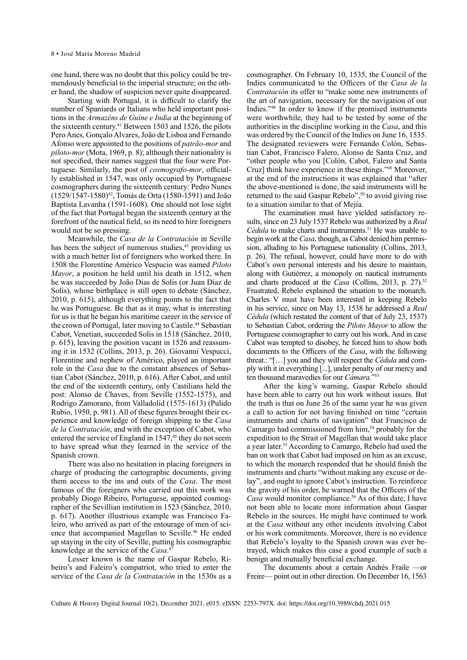<span id="page-7-0"></span>one hand, there was no doubt that this policy could be tremendously beneficial to the imperial structure; on the other hand, the shadow of suspicion never quite disappeared.

Starting with Portugal, it is difficult to clarify the number of Spaniards or Italians who held important positions in the *Armazéns de Guine e India* at the beginning of the sixteenth century.<sup>[41](#page-11-0)</sup> Between 1503 and 1526, the pilots Pero Anes, Gonçalo Alvares, João de Lisboa and Fernando Afonso were appointed to the positions of *patrão-mor* and *piloto-mor* (Mota, 1969, p. 8); although their nationality is not specified, their names suggest that the four were Portuguese. Similarly, the post of *cosmografo-mor*, officially established in 1547, was only occupied by Portuguese cosmographers during the sixteenth century: Pedro Nunes (1529/1547-1580)[42,](#page-11-0) Tomás de Orta (1580-1591) and João Baptista Lavanha (1591-1608). One should not lose sight of the fact that Portugal began the sixteenth century at the forefront of the nautical field, so its need to hire foreigners would not be so pressing.

Meanwhile, the *Casa de la Contratación* in Seville has been the subject of numerous studies,<sup>43</sup> providing us with a much better list of foreigners who worked there. In 1508 the Florentine Américo Vespucio was named *Piloto Mayor*, a position he held until his death in 1512, when he was succeeded by João Dias de Solis (or Juan Díaz de Solís), whose birthplace is still open to debate (Sánchez, 2010, p. 615), although everything points to the fact that he was Portuguese. Be that as it may, what is interesting for us is that he began his maritime career in the service of the crown of Portugal, later moving to Castile.<sup>[44](#page-11-0)</sup> Sebastian Cabot, Venetian, succeeded Solis in 1518 (Sánchez, 2010, p. 615), leaving the position vacant in 1526 and reassuming it in 1532 (Collins, 2013, p. 26). Giovanni Vespucci, Florentine and nephew of Américo, played an important role in the *Casa* due to the constant absences of Sebastian Cabot (Sánchez, 2010, p. 616). After Cabot, and until the end of the sixteenth century, only Castilians held the post: Alonso de Chaves, from Seville (1552-1575), and Rodrigo Zamorano, from Valladolid (1575-1613) (Pulido Rubio, 1950, p. 981). All of these figures brought their experience and knowledge of foreign shipping to the *Casa de la Contratación*, and with the exception of Cabot, who entered the service of England in 1547.<sup>45</sup> they do not seem to have spread what they learned in the service of the Spanish crown.

There was also no hesitation in placing foreigners in charge of producing the cartographic documents, giving them access to the ins and outs of the *Casa*. The most famous of the foreigners who carried out this work was probably Diogo Ribeiro, Portuguese, appointed cosmographer of the Sevillian institution in 1523 (Sánchez, 2010, p. 617). Another illustrious example was Francisco Faleiro, who arrived as part of the entourage of men of sci-ence that accompanied Magellan to Seville.<sup>[46](#page-11-0)</sup> He ended up staying in the city of Seville, putting his cosmographic knowledge at the service of the *Casa*.<sup>4</sup>

Lesser known is the name of Gaspar Rebelo, Ribeiro's and Faleiro's compatriot, who tried to enter the service of the *Casa de la Contratación* in the 1530s as a

cosmographer. On February 10, 1535, the Council of the Indies communicated to the Officers of the *Casa de la Contratación* its offer to "make some new instruments of the art of navigation, necessary for the navigation of our Indies.["48](#page-11-0) In order to know if the promised instruments were worthwhile, they had to be tested by some of the authorities in the discipline working in the *Casa*, and this was ordered by the Council of the Indies on June 16, 1535. The designated reviewers were Fernando Colón, Sebastian Cabot, Francisco Falero, Alonso de Santa Cruz, and "other people who you [Colón, Cabot, Falero and Santa Cruz] think have experience in these things.["49](#page-11-0) Moreover, at the end of the instructions it was explained that "after the above-mentioned is done, the said instruments will be returned to the said Gaspar Rebelo"[,50](#page-11-0) to avoid giving rise to a situation similar to that of Mejía.

The examination must have yielded satisfactory results, since on 23 July 1537 Rebelo was authorized by a *Real Cédula* to make charts and instruments.<sup>51</sup> He was unable to begin work at the *Casa*, though, as Cabot denied him permission, alluding to his Portuguese nationality (Collins, 2013, p. 26). The refusal, however, could have more to do with Cabot's own personal interests and his desire to maintain, along with Gutiérrez, a monopoly on nautical instruments and charts produced at the *Casa* (Collins, 2013, p. 27).<sup>[52](#page-11-0)</sup> Frustrated, Rebelo explained the situation to the monarch. Charles V must have been interested in keeping Rebelo in his service, since on May 13, 1538 he addressed a *Real Cédula* (which restated the content of that of July 23, 1537) to Sebastian Cabot, ordering the *Piloto Mayor* to allow the Portuguese cosmographer to carry out his work. And in case Cabot was tempted to disobey, he forced him to show both documents to the Officers of the *Casa*, with the following threat.: "[…] you and they will respect the *Cédula* and comply with it in everything [...], under penalty of our mercy and ten thousand maravedíes for our *Cámara*."[53](#page-12-0)

After the king's warning, Gaspar Rebelo should have been able to carry out his work without issues. But the truth is that on June 26 of the same year he was given a call to action for not having finished on time "certain instruments and charts of navigation" that Francisco de Camargo had commissioned from him[,54](#page-12-0) probably for the expedition to the Strait of Magellan that would take place a year later.[55](#page-12-0) According to Camargo, Rebelo had used the ban on work that Cabot had imposed on him as an excuse, to which the monarch responded that he should finish the instruments and charts "without making any excuse or delay", and ought to ignore Cabot's instruction. To reinforce the gravity of his order, he warned that the Officers of the Casa would monitor compliance.<sup>56</sup> As of this date, I have not been able to locate more information about Gaspar Rebelo in the sources. He might have continued to work at the *Casa* without any other incidents involving Cabot or his work commitments. Moreover, there is no evidence that Rebelo's loyalty to the Spanish crown was ever betrayed, which makes this case a good example of such a benign and mutually beneficial exchange.

The documents about a certain Andrés Fraile —or Freire— point out in other direction. On December 16, 1563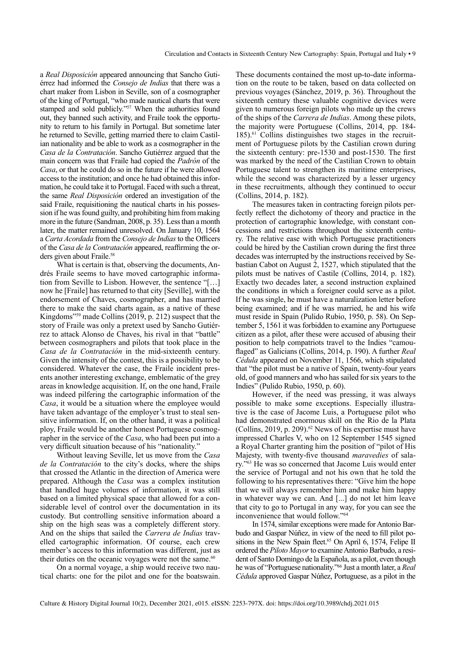<span id="page-8-0"></span>a *Real Disposición* appeared announcing that Sancho Gutiérrez had informed the *Consejo de Indias* that there was a chart maker from Lisbon in Seville, son of a cosmographer of the king of Portugal, "who made nautical charts that were stamped and sold publicly."<sup>57</sup> When the authorities found out, they banned such activity, and Fraile took the opportunity to return to his family in Portugal. But sometime later he returned to Seville, getting married there to claim Castilian nationality and be able to work as a cosmographer in the *Casa de la Contratación*. Sancho Gutiérrez argued that the main concern was that Fraile had copied the *Padrón* of the *Casa*, or that he could do so in the future if he were allowed access to the institution; and once he had obtained this information, he could take it to Portugal. Faced with such a threat, the same *Real Disposición* ordered an investigation of the said Fraile, requisitioning the nautical charts in his possession if he was found guilty, and prohibiting him from making more in the future (Sandman, 2008, p. 35). Less than a month later, the matter remained unresolved. On January 10, 1564 a *Carta Acordada* from the *Consejo de Indias* to the Officers of the *Casa de la Contratación* appeared, reaffirming the or-ders given about Fraile.<sup>[58](#page-12-0)</sup>

What is certain is that, observing the documents, Andrés Fraile seems to have moved cartographic information from Seville to Lisbon. However, the sentence "[…] now he [Fraile] has returned to that city [Seville], with the endorsement of Chaves, cosmographer, and has married there to make the said charts again, as a native of these Kingdoms["59](#page-12-0) made Collins (2019, p. 212) suspect that the story of Fraile was only a pretext used by Sancho Gutiérrez to attack Alonso de Chaves, his rival in that "battle" between cosmographers and pilots that took place in the *Casa de la Contratación* in the mid-sixteenth century. Given the intensity of the contest, this is a possibility to be considered. Whatever the case, the Fraile incident presents another interesting exchange, emblematic of the grey areas in knowledge acquisition. If, on the one hand, Fraile was indeed pilfering the cartographic information of the *Casa*, it would be a situation where the employee would have taken advantage of the employer's trust to steal sensitive information. If, on the other hand, it was a political ploy, Fraile would be another honest Portuguese cosmographer in the service of the *Casa*, who had been put into a very difficult situation because of his "nationality."

Without leaving Seville, let us move from the *Casa de la Contratación* to the city's docks, where the ships that crossed the Atlantic in the direction of America were prepared. Although the *Casa* was a complex institution that handled huge volumes of information, it was still based on a limited physical space that allowed for a considerable level of control over the documentation in its custody. But controlling sensitive information aboard a ship on the high seas was a completely different story. And on the ships that sailed the *Carrera de Indias* travelled cartographic information. Of course, each crew member's access to this information was different, just as their duties on the oceanic voyages were not the same. $60$ 

On a normal voyage, a ship would receive two nautical charts: one for the pilot and one for the boatswain.

These documents contained the most up-to-date information on the route to be taken, based on data collected on previous voyages (Sánchez, 2019, p. 36). Throughout the sixteenth century these valuable cognitive devices were given to numerous foreign pilots who made up the crews of the ships of the *Carrera de Indias*. Among these pilots, the majority were Portuguese (Collins, 2014, pp. 184- 185).<sup>61</sup> Collins distinguishes two stages in the recruitment of Portuguese pilots by the Castilian crown during the sixteenth century: pre-1530 and post-1530. The first was marked by the need of the Castilian Crown to obtain Portuguese talent to strengthen its maritime enterprises, while the second was characterized by a lesser urgency in these recruitments, although they continued to occur (Collins, 2014, p. 182).

The measures taken in contracting foreign pilots perfectly reflect the dichotomy of theory and practice in the protection of cartographic knowledge, with constant concessions and restrictions throughout the sixteenth century. The relative ease with which Portuguese practitioners could be hired by the Castilian crown during the first three decades was interrupted by the instructions received by Sebastian Cabot on August 2, 1527, which stipulated that the pilots must be natives of Castile (Collins, 2014, p. 182). Exactly two decades later, a second instruction explained the conditions in which a foreigner could serve as a pilot. If he was single, he must have a naturalization letter before being examined; and if he was married, he and his wife must reside in Spain (Pulido Rubio, 1950, p. 58). On September 5, 1561 it was forbidden to examine any Portuguese citizen as a pilot, after these were accused of abusing their position to help compatriots travel to the Indies "camouflaged" as Galicians (Collins, 2014, p. 190). A further *Real Cédula* appeared on November 11, 1566, which stipulated that "the pilot must be a native of Spain, twenty-four years old, of good manners and who has sailed for six years to the Indies" (Pulido Rubio, 1950, p. 60).

However, if the need was pressing, it was always possible to make some exceptions. Especially illustrative is the case of Jacome Luis, a Portuguese pilot who had demonstrated enormous skill on the Rio de la Plata (Collins, 2019, p. 209).<sup>62</sup> News of his expertise must have impressed Charles V, who on 12 September 1545 signed a Royal Charter granting him the position of "pilot of His Majesty, with twenty-five thousand *maravedies* of salary.["63](#page-12-0) He was so concerned that Jacome Luis would enter the service of Portugal and not his own that he told the following to his representatives there: "Give him the hope that we will always remember him and make him happy in whatever way we can. And [...] do not let him leave that city to go to Portugal in any way, for you can see the inconvenience that would follow.["64](#page-12-0)

In 1574, similar exceptions were made for Antonio Barbudo and Gaspar Núñez, in view of the need to fill pilot po-sitions in the New Spain fleet.<sup>[65](#page-12-0)</sup> On April 6, 1574, Felipe II ordered the *Piloto Mayor* to examine Antonio Barbudo, a resident of Santo Domingo de la Española, as a pilot, even though he was of "Portuguese nationality.["66](#page-12-0) Just a month later, a *Real Cédula* approved Gaspar Núñez, Portuguese, as a pilot in the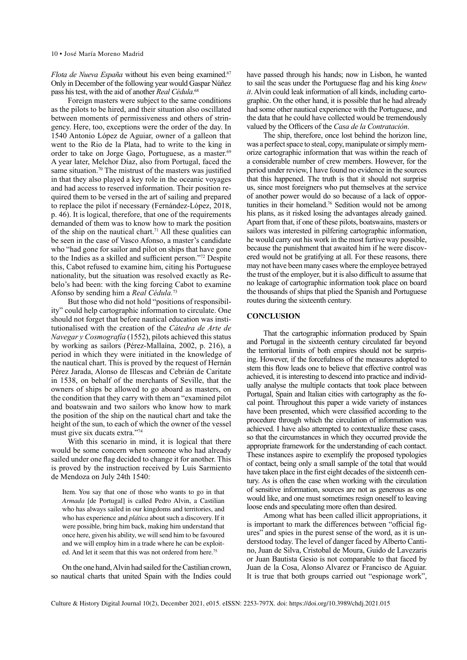<span id="page-9-0"></span>*Flota de Nueva España* without his even being examined.<sup>67</sup> Only in December of the following year would Gaspar Núñez pass his test, with the aid of another *Real Cédula.*[68](#page-12-0)

Foreign masters were subject to the same conditions as the pilots to be hired, and their situation also oscillated between moments of permissiveness and others of stringency. Here, too, exceptions were the order of the day. In 1540 Antonio López de Aguiar, owner of a galleon that went to the Rio de la Plata, had to write to the king in order to take on Jorge Gago, Portuguese, as a master.<sup>[69](#page-12-0)</sup> A year later, Melchor Díaz, also from Portugal, faced the same situation.<sup>70</sup> The mistrust of the masters was justified in that they also played a key role in the oceanic voyages and had access to reserved information. Their position required them to be versed in the art of sailing and prepared to replace the pilot if necessary (Fernández-López, 2018, p. 46). It is logical, therefore, that one of the requirements demanded of them was to know how to mark the position of the ship on the nautical chart.<sup>[71](#page-12-0)</sup> All these qualities can be seen in the case of Vasco Afonso, a master's candidate who "had gone for sailor and pilot on ships that have gone to the Indies as a skilled and sufficient person."[72](#page-12-0) Despite this, Cabot refused to examine him, citing his Portuguese nationality, but the situation was resolved exactly as Rebelo's had been: with the king forcing Cabot to examine Afonso by sending him a *Real Cédula.*[73](#page-12-0)

But those who did not hold "positions of responsibility" could help cartographic information to circulate. One should not forget that before nautical education was institutionalised with the creation of the *Cátedra de Arte de Navegar y Cosmografía* (1552), pilots achieved this status by working as sailors (Pérez-Mallaína, 2002, p. 216), a period in which they were initiated in the knowledge of the nautical chart. This is proved by the request of Hernán Pérez Jarada, Alonso de Illescas and Cebrián de Caritate in 1538, on behalf of the merchants of Seville, that the owners of ships be allowed to go aboard as masters, on the condition that they carry with them an "examined pilot and boatswain and two sailors who know how to mark the position of the ship on the nautical chart and take the height of the sun, to each of which the owner of the vessel must give six ducats extra.["74](#page-12-0)

With this scenario in mind, it is logical that there would be some concern when someone who had already sailed under one flag decided to change it for another. This is proved by the instruction received by Luis Sarmiento de Mendoza on July 24th 1540:

Item. You say that one of those who wants to go in that *Armada* [de Portugal] is called Pedro Alvin, a Castilian who has always sailed in our kingdoms and territories, and who has experience and *plática* about such a discovery. If it were possible, bring him back, making him understand that once here, given his ability, we will send him to be favoured and we will employ him in a trade where he can be exploited. And let it seem that this was not ordered from here.<sup>75</sup>

On the one hand, Alvin had sailed for the Castilian crown, so nautical charts that united Spain with the Indies could have passed through his hands; now in Lisbon, he wanted to sail the seas under the Portuguese flag and his king *knew it*. Alvin could leak information of all kinds, including cartographic. On the other hand, it is possible that he had already had some other nautical experience with the Portuguese, and the data that he could have collected would be tremendously valued by the Officers of the *Casa de la Contratación*.

The ship, therefore, once lost behind the horizon line, was a perfect space to steal, copy, manipulate or simply memorize cartographic information that was within the reach of a considerable number of crew members. However, for the period under review, I have found no evidence in the sources that this happened. The truth is that it should not surprise us, since most foreigners who put themselves at the service of another power would do so because of a lack of opportunities in their homeland[.76](#page-12-0) Sedition would not be among his plans, as it risked losing the advantages already gained. Apart from that, if one of these pilots, boatswains, masters or sailors was interested in pilfering cartographic information, he would carry out his work in the most furtive way possible, because the punishment that awaited him if he were discovered would not be gratifying at all. For these reasons, there may not have been many cases where the employee betrayed the trust of the employer, but it is also difficult to assume that no leakage of cartographic information took place on board the thousands of ships that plied the Spanish and Portuguese routes during the sixteenth century.

#### **CONCLUSION**

That the cartographic information produced by Spain and Portugal in the sixteenth century circulated far beyond the territorial limits of both empires should not be surprising. However, if the forcefulness of the measures adopted to stem this flow leads one to believe that effective control was achieved, it is interesting to descend into practice and individually analyse the multiple contacts that took place between Portugal, Spain and Italian cities with cartography as the focal point. Throughout this paper a wide variety of instances have been presented, which were classified according to the procedure through which the circulation of information was achieved. I have also attempted to contextualize these cases, so that the circumstances in which they occurred provide the appropriate framework for the understanding of each contact. These instances aspire to exemplify the proposed typologies of contact, being only a small sample of the total that would have taken place in the first eight decades of the sixteenth century. As is often the case when working with the circulation of sensitive information, sources are not as generous as one would like, and one must sometimes resign oneself to leaving loose ends and speculating more often than desired.

Among what has been called illicit appropriations, it is important to mark the differences between "official figures" and spies in the purest sense of the word, as it is understood today. The level of danger faced by Alberto Cantino, Juan de Silva, Cristobal de Moura, Guido de Lavezaris or Juan Bautista Gesio is not comparable to that faced by Juan de la Cosa, Alonso Alvarez or Francisco de Aguiar. It is true that both groups carried out "espionage work",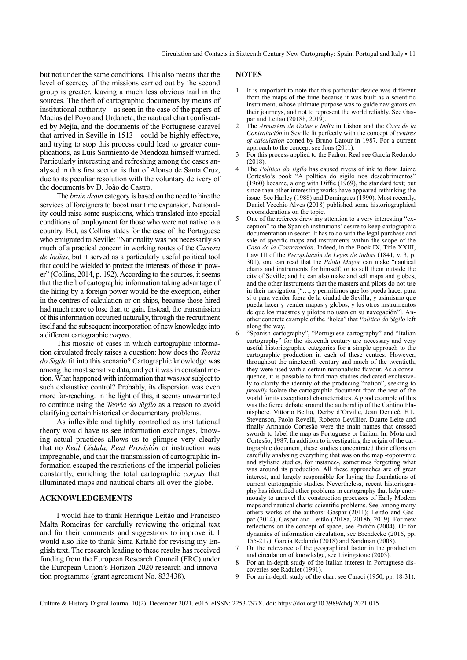<span id="page-10-0"></span>but not under the same conditions. This also means that the level of secrecy of the missions carried out by the second group is greater, leaving a much less obvious trail in the sources. The theft of cartographic documents by means of institutional authority—as seen in the case of the papers of Macías del Poyo and Urdaneta, the nautical chart confiscated by Mejía, and the documents of the Portuguese caravel that arrived in Seville in 1513—could be highly effective, and trying to stop this process could lead to greater complications, as Luis Sarmiento de Mendoza himself warned. Particularly interesting and refreshing among the cases analysed in this first section is that of Alonso de Santa Cruz, due to its peculiar resolution with the voluntary delivery of the documents by D. João de Castro.

The *brain drain* category is based on the need to hire the services of foreigners to boost maritime expansion. Nationality could raise some suspicions, which translated into special conditions of employment for those who were not native to a country. But, as Collins states for the case of the Portuguese who emigrated to Seville: "Nationality was not necessarily so much of a practical concern in working routes of the *Carrera de Indias*, but it served as a particularly useful political tool that could be wielded to protect the interests of those in power" (Collins, 2014, p. 192). According to the sources, it seems that the theft of cartographic information taking advantage of the hiring by a foreign power would be the exception, either in the centres of calculation or on ships, because those hired had much more to lose than to gain. Instead, the transmission of this information occurred naturally, through the recruitment itself and the subsequent incorporation of new knowledge into a different cartographic *corpus*.

This mosaic of cases in which cartographic information circulated freely raises a question: how does the *Teoria do Sigilo* fit into this scenario? Cartographic knowledge was among the most sensitive data, and yet it was in constant motion. What happened with information that was *not* subject to such exhaustive control? Probably, its dispersion was even more far-reaching. In the light of this, it seems unwarranted to continue using the *Teoria do Sigilo* as a reason to avoid clarifying certain historical or documentary problems.

As inflexible and tightly controlled as institutional theory would have us see information exchanges, knowing actual practices allows us to glimpse very clearly that no *Real Cédula, Real Provisión* or instruction was impregnable, and that the transmission of cartographic information escaped the restrictions of the imperial policies constantly, enriching the total cartographic *corpus* that illuminated maps and nautical charts all over the globe.

#### **ACKNOWLEDGEMENTS**

I would like to thank Henrique Leitão and Francisco Malta Romeiras for carefully reviewing the original text and for their comments and suggestions to improve it. I would also like to thank Šima Krtalić for revising my English text. The research leading to these results has received funding from the European Research Council (ERC) under the European Union's Horizon 2020 research and innovation programme (grant agreement No. 833438).

### **NOTES**

- It is important to note that this particular device was different from the maps of the time because it was built as a scientific instrument, whose ultimate purpose was to guide navigators on their journeys, and not to represent the world reliably. See Gaspar and Leitão (2018b, 2019).
- [2](#page-1-0) The *Armazéns de Guine e India* in Lisbon and the *Casa de la Contratación* in Seville fit perfectly with the concept of *centres of calculation* coined by Bruno Latour in 1987. For a current approach to the concept see Jons (2011).
- [3](#page-1-0) For this process applied to the Padrón Real see García Redondo  $(2018)$
- [4](#page-1-0) The *Politica do sigilo* has caused rivers of ink to flow. Jaime Cortesão's book "A política do sigilo nos descobrimentos" (1960) became, along with Diffie (1969), the standard text; but since then other interesting works have appeared rethinking the issue. See Harley (1988) and Domingues (1990). Most recently, Daniel Vecchio Alves (2018) published some historiographical reconsiderations on the topic.
- [5](#page-1-0) One of the referees drew my attention to a very interesting "exception" to the Spanish institutions' desire to keep cartographic documentation in secret. It has to do with the legal purchase and sale of specific maps and instruments within the scope of the *Casa de la Contratación*. Indeed, in the Book IX, Title XXIII, Law III of the *Recopilación de Leyes de Indias* (1841, v. 3, p. 301), one can read that the *Piloto Mayor* can make "nautical charts and instruments for himself, or to sell them outside the city of Seville; and he can also make and sell maps and globes, and the other instruments that the masters and pilots do not use in their navigation ["…; y permitimos que los pueda hacer para sí o para vender fuera de la ciudad de Sevilla; y asimismo que pueda hacer y vender mapas y globos, y los otros instrumentos de que los maestres y pilotos no usan en su navegación"]. Another concrete example of the "holes" that *Politica do Sigilo* left along the way.
- [6](#page-1-0) "Spanish cartography", "Portuguese cartography" and "Italian cartography" for the sixteenth century are necessary and very useful historiographic categories for a simple approach to the cartographic production in each of these centres. However, throughout the nineteenth century and much of the twentieth, they were used with a certain nationalistic flavour. As a consequence, it is possible to find map studies dedicated exclusively to clarify the identity of the producing "nation", seeking to *proudly* isolate the cartographic document from the rest of the world for its exceptional characteristics. A good example of this was the fierce debate around the authorship of the Cantino Planisphere. Vittorio Bellio, Derby d'Orville, Jean Denucé, E.L. Stevenson, Paolo Revelli, Roberto Levillier, Duarte Leite and finally Armando Cortesão were the main names that crossed swords to label the map as Portuguese or Italian. In: Mota and Cortesão, 1987. In addition to investigating the origin of the cartographic document, these studies concentrated their efforts on carefully analysing everything that was on the map -toponymic and stylistic studies, for instance-, sometimes forgetting what was around its production. All these approaches are of great interest, and largely responsible for laying the foundations of current cartographic studies. Nevertheless, recent historiography has identified other problems in cartography that help enormously to unravel the construction processes of Early Modern maps and nautical charts: scientific problems. See, among many others works of the authors: Gaspar (2011); Leitão and Gaspar (2014); Gaspar and Leitão (2018a, 2018b, 2019). For new reflections on the concept of space, see Padrón (2004). Or for dynamics of information circulation, see Brendecke (2016, pp. 155-217); García Redondo (2018) and Sandman (2008).
- [7](#page-1-0) On the relevance of the geographical factor in the production and circulation of knowledge, see Livingstone (2003).
- [8](#page-1-0) For an in-depth study of the Italian interest in Portuguese discoveries see Radulet (1991).
- [9](#page-1-0) For an in-depth study of the chart see Caraci (1950, pp. 18-31).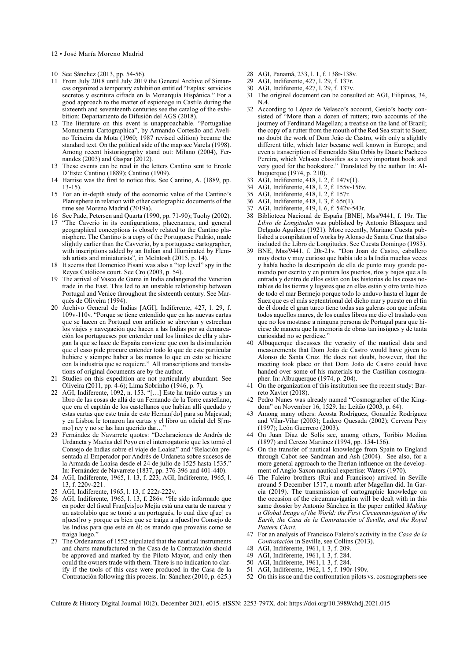- <span id="page-11-0"></span>12 • José María Moreno Madrid
- [10](#page-1-0) See Sánchez (2013, pp. 54-56).
- [11](#page-2-0) From July 2018 until July 2019 the General Archive of Simancas organized a temporary exhibition entitled "Espías: servicios secretos y escritura cifrada en la Monarquía Hispánica." For a good approach to the matter of espionage in Castile during the sixteenth and seventeenth centuries see the catalog of the exhibition: Departamento de Difusión del AGS (2018).
- [12](#page-2-0) The literature on this event is unapproachable. "Portugaliae Monumenta Cartographica", by Armando Cortesão and Avelino Teixeira da Mota (1960; 1987 revised edition) became the standard text. On the political side of the map see Varela (1998). Among recent historiography stand out: Milano (2004), Fernandes (2003) and Gaspar (2012).
- [13](#page-2-0) These events can be read in the letters Cantino sent to Ercole D'Este: Cantino (1889); Cantino (1909).
- [14](#page-2-0) Harrise was the first to notice this. See Cantino, A. (1889, pp. 13-15).
- [15](#page-3-0) For an in-depth study of the economic value of the Cantino's Planisphere in relation with other cartographic documents of the time see Moreno Madrid (2019a).
- See Pade, Petersen and Quarta (1990, pp. 71-90); Tuohy (2002).
- [17](#page-3-0) "The Caverio in its configurations, placenames, and general geographical conceptions is closely related to the Cantino planisphere. The Cantino is a copy of the Portuguese Padrão, made slightly earlier than the Cavverio, by a portuguese cartographer, with inscriptions added by an Italian and Illuminated by Flemish artists and miniaturists", in McIntosh (2015, p. 14).
- [18](#page-3-0) It seems that Domenico Pisani was also a "top level" spy in the Reyes Católicos court. See Cro (2003, p. 54).
- [19](#page-3-0) The arrival of Vasco de Gama in India endangered the Venetian trade in the East. This led to an unstable relationship between Portugal and Venice throughout the sixteenth century. See Marqués de Oliveira (1994).
- [20](#page-3-0) Archivo General de Indias [AGI], Indiferente, 427, l. 29, f. 109v-110v. "Porque se tiene entendido que en las nuevas cartas que se hacen en Portugal con artificio se abrevian y estrechan los viajes y navegación que hacen a las Indias por su demarcación los portugueses por entender mal los límites de ella y alargan la que se hace de España conviene que con la disimulación que el caso pide procure entender todo lo que de este particular hubiere y siempre haber a las manos lo que en esto se hiciere con la industria que se requiere." All transcriptions and translations of original documents are by the author.
- [21](#page-3-0) Studies on this expedition are not particularly abundant. See Oliveira (2011, pp. 4-6); Lima Sobrinho (1946, p. 7).
- [22](#page-3-0) AGI, Indiferente, 1092, n. 153. "[…] Este ha traído cartas y un libro de las cosas de allá de un Fernando de la Torre castellano, que era el capitán de los castellanos que habían allí quedado y estas cartas que este traía de este Hernan[do] para su Majestad; y en Lisboa le tomaron las cartas y el libro un oficial del S[rnmo] rey y no se las han querido dar...
- [23](#page-4-0) Fernández de Navarrete quotes: "Declaraciones de Andrés de Urdaneta y Macías del Poyo en el interrogatorio que les tomó el Consejo de Indias sobre el viaje de Loaísa" and "Relación presentada al Emperador por Andrés de Urdaneta sobre sucesos de la Armada de Loaísa desde el 24 de julio de 1525 hasta 1535. In: Fernández de Navarrete (1837, pp. 376-396 and 401-440).
- [24](#page-4-0) AGI, Indiferente, 1965, l. 13, f. 223; AGI, Indiferente, 1965, l.  $13, f. 220v - 221$
- [25](#page-4-0) AGI, Indiferente, 1965, l. 13, f. 222r-222v.
- [26](#page-4-0) AGI, Indiferente, 1965, l. 13, f. 286v. "He sido informado que en poder del fiscal Fran[cis]co Mejia está una carta de marear y un astrolabio que se tomó a un portugués, lo cual dice q[ue] es n[uest]ro y porque es bien que se traiga a n[uest]ro Consejo de las Indias para que esté en él; os mando que proveáis como se traiga luego."
- [27](#page-4-0) The Ordenanzas of 1552 stipulated that the nautical instruments and charts manufactured in the Casa de la Contratación should be approved and marked by the Piloto Mayor, and only then could the owners trade with them. There is no indication to clarify if the tools of this case were produced in the Casa de la Contratación following this process. In: Sánchez (2010, p. 625.)
- [28](#page-4-0) AGI, Panamá, 233, l. 1, f. 138r-138v.
- [29](#page-4-0) AGI, Indiferente, 427, l. 29, f. 137r.<br>30 AGI Indiferente, 427, l. 29, f. 137v.
- [30](#page-4-0) AGI, Indiferente, 427, l. 29, f. 137v.
- The original document can be consulted at: AGI, Filipinas, 34, N.4.
- [32](#page-5-0) According to López de Velasco's account, Gesio's booty consisted of "More than a dozen of rutters; two accounts of the journey of Ferdinand Magellan; a treatise on the land of Brazil; the copy of a rutter from the mouth of the Red Sea strait to Suez; no doubt the work of Dom João de Castro, with only a slightly different title, which later became well known in Europe; and even a transcription of Esmeraldo Situ Orbis by Duarte Pacheco Pereira, which Velasco classifies as a very important book and very good for the bookstore." Translated by the author. In: Albuquerque (1974, p. 210).
- [33](#page-6-0) AGI, Indiferente, 418, l. 2, f. 147v(1).
- [34](#page-6-0) AGI, Indiferente, 418, l. 2, f. 155v-156v.
- [35](#page-6-0) AGI, Indiferente, 418, l. 2, f. 157r.
- [36](#page-6-0) AGI, Indiferente, 418, l. 3, f. 65r(1).
- [37](#page-6-0) AGI, Indiferente, 419, l. 6, f. 542v-543r.
- [38](#page-6-0) Biblioteca Nacional de España [BNE], Mss/9441, f. 19r. The *Libro de Longitudes* was published by Antonio Blázquez and Delgado Aguilera (1921). More recently, Mariano Cuesta published a compilation of works by Alonso de Santa Cruz that also included the Libro de Longitudes. See Cuesta Domingo (1983).
- [39](#page-6-0) BNE, Mss/9441, f. 20r-21v. "Don Joan de Castro, caballero muy docto y muy curioso que había ido a la India muchas veces y había hecho la descripción de ella de punto muy grande poniendo por escrito y en pintura los puertos, ríos y bajos que a la entrada y dentro de ellos están con las historias de las cosas notables de las tierras y lugares que en ellas están y otro tanto hizo de todo el mar Bermejo porque todo lo anduvo hasta el lugar de Suez que es el más septentrional del dicho mar y puesto en el fin de él donde el gran turco tiene todas sus galeras con que infesta todos aquellos mares, de los cuales libros me dio el traslado con que no los mostrase a ninguna persona de Portugal para que hiciese de manera que la memoria de obras tan insignes y de tanta curiosidad no se perdiese.
- [40](#page-6-0) Albuquerque discusses the veracity of the nautical data and measurements that Dom João de Castro would have given to Alonso de Santa Cruz. He does not doubt, however, that the meeting took place or that Dom João de Castro could have handed over some of his materials to the Castilian cosmographer. In: Albuquerque (1974, p. 204).
- [41](#page-7-0) On the organization of this institution see the recent study: Barreto Xavier (2018).
- [42](#page-7-0) Pedro Nunes was already named "Cosmographer of the Kingdom" on November 16, 1529. In: Leitão (2003, p. 64).
- [43](#page-7-0) Among many others: Acosta Rodríguez, Gonzaléz Rodríguez and Vilar-Vilar (2003); Ladero Quesada (2002); Cervera Pery (1997); León Guerrero (2003).
- [44](#page-7-0) On Juan Díaz de Solís see, among others, Toribio Medina (1897) and Cerezo Martínez (1994, pp. 154-156).
- [45](#page-7-0) On the transfer of nautical knowledge from Spain to England through Cabot see Sandman and Ash (2004). See also, for a more general approach to the Iberian influence on the development of Anglo-Saxon nautical expertise: Waters (1970).
- [46](#page-7-0) The Faleiro brothers (Rui and Francisco) arrived in Seville around 5 December 1517, a month after Magellan did. In Garcia (2019). The transmission of cartographic knowledge on the occasion of the circumnavigation will be dealt with in this same dossier by Antonio Sánchez in the paper entitled *Making a Global Image of the World: the First Circumnavigation of the Earth, the Casa de la Contratación of Seville, and the Royal Pattern Chart.*
- [47](#page-7-0) For an analysis of Francisco Faleiro's activity in the *Casa de la Contratación* in Seville, see Collins (2013).
- [48](#page-7-0) AGI, Indiferente, 1961, l. 3, f. 209.
- [49](#page-7-0) AGI, Indiferente, 1961, 1. 3, f. 284<br>50 AGI, Indiferente, 1961, 1. 3, f. 284
- [50](#page-7-0) AGI, Indiferente, 1961, l. 3, f. 284.
- [51](#page-7-0) AGI, Indiferente, 1962, l. 5, f. 190r-190v.
- [52](#page-7-0) On this issue and the confrontation pilots vs. cosmographers see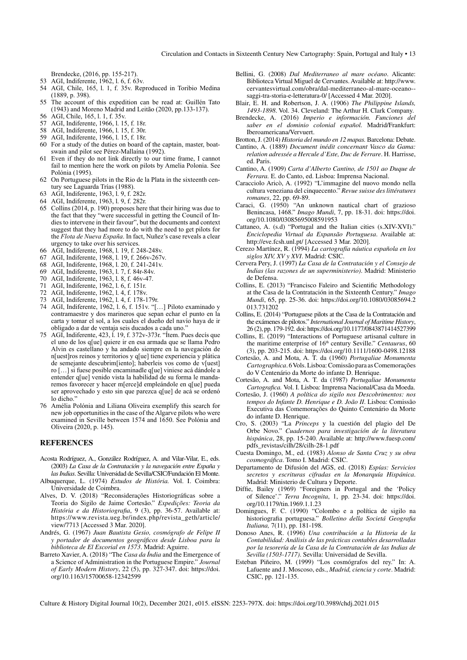Circulation and Contacts in Sixteenth Century New Cartography: Spain, Portugal and Italy • 13

Brendecke, (2016, pp. 155-217).

- <span id="page-12-0"></span>[53](#page-7-0) AGI, Indiferente, 1962, l. 6, f. 63v.
- [54](#page-7-0) AGI, Chile, 165, l. 1, f. 35v. Reproduced in Toribio Medina (1889, p. 398).
- [55](#page-7-0) The account of this expedition can be read at: Guillén Tato (1943) and Moreno Madrid and Leitão (2020, pp.133-137).
- [56](#page-7-0) AGI, Chile, 165, l. 1, f. 35v.
- [57](#page-8-0) AGI, Indiferente, 1966, l. 15, f. 18r.
- [58](#page-8-0) AGI, Indiferente, 1966, l. 15, f. 30r.
- [59](#page-8-0) AGI, Indiferente, 1966, l. 15, f. 18r.
- [60](#page-8-0) For a study of the duties on board of the captain, master, boatswain and pilot see Pérez-Mallaína (1992).
- [61](#page-8-0) Even if they do not link directly to our time frame, I cannot fail to mention here the work on pilots by Amelia Polonia. See Polónia (1995).
- [62](#page-8-0) On Portuguese pilots in the Rio de la Plata in the sixteenth century see Laguarda Trías (1988).
- [63](#page-8-0) AGI, Indiferente, 1963, l. 9, f. 282r.
- [64](#page-8-0) AGI, Indiferente, 1963, l. 9, f. 282r.
- [65](#page-8-0) Collins (2014, p. 190) proposes here that their hiring was due to the fact that they "were successful in getting the Council of Indies to intervene in their favour", but the documents and context suggest that they had more to do with the need to get pilots for the *Flota de Nueva España*. In fact, Nuñez's case reveals a clear urgency to take over his services.
- [66](#page-8-0) AGI, Indiferente, 1968, l. 19, f. 248-248v.
- [67](#page-9-0) AGI, Indiferente, 1968, l. 19, f. 266v-267v.
- [68](#page-9-0) AGI, Indiferente, 1968, l. 20, f. 241-241v.
- [69](#page-9-0) AGI, Indiferente, 1963, l. 7, f. 84r-84v.
- [70](#page-9-0) AGI, Indiferente, 1963, l. 8, f. 46v-47.
- [71](#page-9-0) AGI, Indiferente, 1962, l. 6, f. 151r.
- [72](#page-9-0) AGI, Indiferente, 1962, l. 4, f. 178v.
- [73](#page-9-0) AGI, Indiferente, 1962, l. 4, f. 178-179r.
- [74](#page-9-0) AGI, Indiferente, 1962, l. 6, f. 151v. "[…] Piloto examinado y contramaestre y dos marineros que sepan echar el punto en la carta y tomar el sol, a los cuales el dueño del navío haya de ir obligado a dar de ventaja seis ducados a cada uno."
- [75](#page-9-0) AGI, Indiferente, 423, l. 19, f. 372v-373r. "Ítem. Pues decís que el uno de los q[ue] quiere ir en esa armada que se llama Pedro Alvin es castellano y ha andado siempre en la navegación de n[uest]ros reinos y territorios y q[ue] tiene experiencia y plática de semejante descubrim[iento]; haberleis vos como de v[uest] ro […] si fuese posible encaminadle q[ue] viniese acá dándole a entender q[ue] venido vista la habilidad de su forma le mandaremos favorecer y hacer m[erce]d empleándole en q[ue] pueda ser aprovechado y esto sin que parezca q[ue] de acá se ordenó lo dicho."
- [76](#page-9-0) Amélia Polónia and Liliana Oliveira exemplify this search for new job opportunities in the case of the Algarve pilots who were examined in Seville between 1574 and 1650. See Polónia and Oliveira (2020, p. 145).

## **REFERENCES**

- Acosta Rodríguez, A., González Rodríguez, A. and Vilar-Vilar, E., eds. (2003) *La Casa de la Contratación y la navegación entre España y las Indias*. Sevilla: Universidad de Sevilla/CSIC/Fundación El Monte.
- Albuquerque, L. (1974) *Estudos de História.* Vol. I. Coimbra: Universidade de Coimbra.
- Alves, D. V. (2018) "Reconsiderações Historiográficas sobre a Teoria do Sigilo de Jaime Cortesão." *Expedições: Teoria da História e da Historiografia*, 9 (3), pp. 36-57. Available at: [https://www.revista.ueg.br/index.php/revista\\_geth/article/](https://www.revista.ueg.br/index.php/revista_geth/article/view/7713) [view/7713](https://www.revista.ueg.br/index.php/revista_geth/article/view/7713) [Accessed 3 Mar. 2020].
- Andrés, G. (1967) *Juan Bautista Gesio, cosmógrafo de Felipe II y portador de documentos geográficos desde Lisboa para la biblioteca de El Escorial en 1573*. Madrid: Aguirre.
- Barreto Xavier, A. (2018) "The *Casa da Índia* and the Emergence of a Science of Administration in the Portuguese Empire." *Journal of Early Modern History*, 22 (5), pp. 327-347. doi: [https://doi.](https://doi.org/10.1163/15700658-12342599) [org/10.1163/15700658-12342599](https://doi.org/10.1163/15700658-12342599)
- Bellini, G. (2008) *Dal Mediterraneo al mare océano*. Alicante: Biblioteca Virtual Miguel de Cervantes. Available at: [http://www.](http://www.cervantesvirtual.com/obra/dal-mediterraneo-al-mare-oceano--saggi-tra-storia-e-letteratura-0/) [cervantesvirtual.com/obra/dal-mediterraneo-al-mare-oceano-](http://www.cervantesvirtual.com/obra/dal-mediterraneo-al-mare-oceano--saggi-tra-storia-e-letteratura-0/) [saggi-tra-storia-e-letteratura-0/](http://www.cervantesvirtual.com/obra/dal-mediterraneo-al-mare-oceano--saggi-tra-storia-e-letteratura-0/) [Accessed 4 Mar. 2020].
- Blair, E. H. and Robertson, J. A. (1906) *The Philippine Islands, 1493-1898*. Vol. 34. Cleveland: The Arthur H. Clark Company.
- Brendecke, A. (2016) *Imperio e información. Funciones del saber en el dominio colonial español.* Madrid/Frankfurt: Iberoamericana/Vervuert.
- Brotton, J. (2014) *Historia del mundo en 12 mapas.* Barcelona: Debate.
- Cantino, A. (1889) *Document inédit concernant Vasco da Gama: relation adressée a Hercule d'Este, Duc de Ferrare*. H. Harrisse, ed. Paris.
- Cantino, A. (1909) *Carta d'Alberto Cantino, de 1501 ao Duque de Ferrara.* E. do Canto, ed. Lisboa: Imprensa Nacional.
- Caracciolo Aricò, A. (1992) "L'immagine del nuovo mondo nella cultura veneziana del cinquecento." *Revue suisse des littératures romanes*, 22, pp. 69-89.
- Caraci, G. (1950) "An unknown nautical chart of grazioso Benincasa, 1468." *Imago Mundi*, 7, pp. 18-31. doi: [https://doi.](https://doi.org/10.1080/03085695008591953) [org/10.1080/03085695008591953](https://doi.org/10.1080/03085695008591953)
- Cattaneo, A. (s.d) "Portugal and the Italian cities (s.XIV-XVI)." *Enciclopedia Virtual da Expansão Portuguesa*. Available at: <http://eve.fcsh.unl.pt/>[Accessed 3 Mar. 2020].
- Cerezo Martínez, R. (1994) *La cartografía náutica española en los siglos XIV, XV y XVI*. Madrid: CSIC.
- Cervera Pery, J. (1997) *La Casa de la Contratación y el Consejo de Indias (las razones de un superministerio)*. Madrid: Ministerio de Defensa.
- Collins, E. (2013) "Francisco Faleiro and Scientific Methodology at the Casa de la Contratación in the Sixteenth Century." *Imago Mundi*, 65, pp. 25-36. doi: [https://doi.org/10.1080/03085694.2](https://doi.org/10.1080/03085694.2013.731202) [013.731202](https://doi.org/10.1080/03085694.2013.731202)
- Collins, E. (2014) "Portuguese pilots at the Casa de la Contratación and the exámenes de pilotos." *International Journal of Maritime History*, 26 (2), pp. 179-192. doi:<https://doi.org/10.1177/0843871414527399>
- Collins, E. (2019) "Interactions of Portuguese artisanal culture in the maritime enterprise of 16<sup>th</sup> century Seville." *Centaurus*, 60 (3), pp. 203-215. doi:<https://doi.org/10.1111/1600-0498.12188>
- Cortesão, A. and Mota, A. T. da (1960) *Portugaliae Monumenta Cartographica*. 6 Vols. Lisboa: Comissão para as Comemorações do V Centenário da Morte do infante D. Henrique.
- Cortesão, A. and Mota, A. T. da (1987) *Portugaliae Monumenta Cartografica.* Vol. I. Lisboa: Imprensa Nacional/Casa da Moeda.
- Cortesão, J. (1960) *A política do sigilo nos Descobrimentos: nos tempos do Infante D. Henrique e D. João II*. Lisboa: Comissão Executiva das Comemorações do Quinto Centenário da Morte do infante D. Henrique.
- Cro, S. (2003) "La *Princeps* y la cuestión del plagio del De Orbe Novo." *Cuadernos para investigación de la literatura hispánica*, 28, pp. 15-240. Available at: [http://www.fuesp.com/](http://www.fuesp.com/pdfs_revistas/cilh/28/cilh-28-1.pdf) [pdfs\\_revistas/cilh/28/cilh-28-1.pdf](http://www.fuesp.com/pdfs_revistas/cilh/28/cilh-28-1.pdf)
- Cuesta Domingo, M., ed. (1983) *Alonso de Santa Cruz y su obra cosmográfica*. Tomo I. Madrid: CSIC.
- Departamento de Difusión del AGS, ed. (2018) *Espías: Servicios secretos y escrituras cifradas en la Monarquía Hispánica*. Madrid: Ministerio de Cultura y Deporte.
- Diffie, Bailey (1969) "Foreigners in Portugal and the 'Policy of Silence'." *Terra Incognita*, 1, pp. 23-34. doi: [https://doi.](https://doi.org/10.1179/tin.1969.1.1.23) [org/10.1179/tin.1969.1.1.23](https://doi.org/10.1179/tin.1969.1.1.23)
- Domingues, F. C. (1990) "Colombo e a política de sigilo na historiografia portuguesa." *Bolletino della Societá Geografia Italiana,* 7(11), pp. 181-198.
- Donoso Anes, R. (1996) *Una contribución a la Historia de la Contabilidad: Análisis de las prácticas contables desarrolladas por la tesorería de la Casa de la Contratación de las Indias de Sevilla (1503-1717)*. Sevilla: Universidad de Sevilla.
- Esteban Piñeiro, M. (1999) "Los cosmógrafos del rey." In: A. Lafuente and J. Moscoso, eds., *Madrid, ciencia y corte*. Madrid: CSIC, pp. 121-135.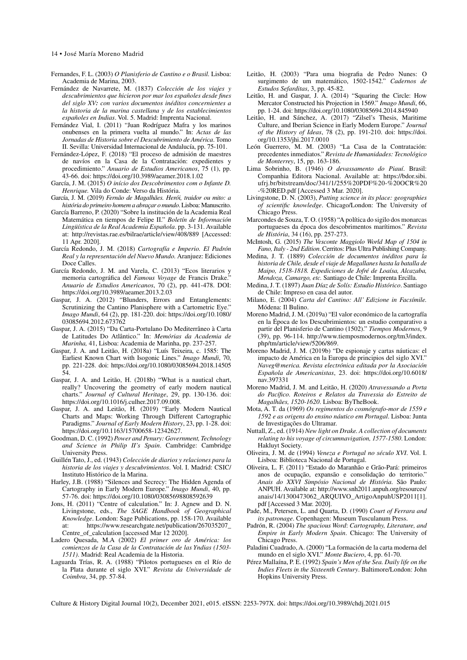14 • José María Moreno Madrid

- Fernandes, F. L. (2003) *O Planisferio de Cantino e o Brasil.* Lisboa: Academia de Marina, 2003.
- Fernández de Navarrete, M. (1837) *Colección de los viajes y descubrimientos que hicieron por mar los españoles desde fines del siglo XV: con varios documentos inéditos concernientes a la historia de la marina castellana y de los establecimientos españoles en Indias*. Vol. 5. Madrid: Imprenta Nacional.
- Fernández Vial, I. (2011) "Juan Rodríguez Mafra y los marinos onubenses en la primera vuelta al mundo." In: *Actas de las Jornadas de Historia sobre el Descubrimiento de América*. Tomo II. Sevilla: Universidad Internacional de Andalucía, pp. 75-101.
- Fernández-López, F. (2018) "El proceso de admisión de maestres de navíos en la Casa de la Contratación: expedientes y procedimiento." *Anuario de Estudios Americanos*, 75 (1), pp. 43-66. doi: <https://doi.org/10.3989/aeamer.2018.1.02>
- García, J. M. (2015) *O início dos Descobrimentos com o Infante D. Henrique.* Vila do Conde: Verso da História.
- García, J. M. (2019) *Fernão de Magalhães. Herói, traidor ou mito: a história do primeiro homem a abraçar o mundo*. Lisboa: Manuscrito.
- García Barreno, P. (2020) "Sobre la institución de la Academia Real Matemática en tiempos de Felipe II." *Boletín de Información Lingüística de la Real Academia Española*. pp. 3-131. Available at: <http://revistas.rae.es/bilrae/article/view/408/889>[Accessed: 11 Apr. 2020].
- García Redondo, J. M. (2018) *Cartografía e Imperio. El Padrón Real y la representación del Nuevo Mundo.* Aranjuez: Ediciones Doce Calles.
- García Redondo, J. M. and Varela, C. (2013) "Ecos literarios y memoria cartográfica del *Famous Voyage* de Francis Drake." *Anuario de Estudios Americanos*, 70 (2), pp. 441-478. DOI: <https://doi.org/10.3989/aeamer.2013.2.03>
- Gaspar, J. A. (2012) "Blunders, Errors and Entanglements: Scrutinizing the Cantino Planisphere with a Cartometric Eye." *Imago Mundi*, 64 (2), pp. 181-220. doi: [https://doi.org/10.1080/](https://doi.org/10.1080/03085694.2012.673762) [03085694.2012.673762](https://doi.org/10.1080/03085694.2012.673762)
- Gaspar, J. A. (2015) "Da Carta-Portulano Do Mediterrâneo à Carta de Latitudes Do Atlântico." In: *Memórias da Academia de Marinha,* 41, Lisboa: Academia de Marinha, pp. 237-257.
- Gaspar, J. A. and Leitão, H. (2018a) "Luís Teixeira, c. 1585: The Earliest Known Chart with Isogonic Lines." *Imago Mundi*, 70, pp. 221-228. doi: [https://doi.org/10.1080/03085694.2018.14505](https://doi.org/10.1080/03085694.2018.1450554) [54.](https://doi.org/10.1080/03085694.2018.1450554)
- Gaspar, J. A. and Leitão, H. (2018b) "What is a nautical chart, really? Uncovering the geometry of early modern nautical charts." *Journal of Cultural Heritage*, 29, pp. 130-136. doi: <https://doi.org/10.1016/j.culher.2017.09.008>.
- Gaspar, J. A. and Leitão, H. (2019) "Early Modern Nautical Charts and Maps: Working Through Different Cartographic Paradigms." *Journal of Early Modern History*, 23, pp. 1-28. doi: <https://doi.org/10.1163/15700658-12342627>.
- Goodman, D. C. (1992) *Power and Penury: Government, Technology and Science in Philip II's Spain*. Cambridge: Cambridge University Press.
- Guillén Tato, J., ed. (1943) *Colección de diarios y relaciones para la historia de los viajes y descubrimientos*. Vol. I. Madrid: CSIC/ Instituto Histórico de la Marina.
- Harley, J.B. (1988) "Silences and Secrecy: The Hidden Agenda of Cartography in Early Modern Europe." *Imago Mundi*, 40, pp. 57-76. doi: <https://doi.org/10.1080/03085698808592639>
- Jons, H. (2011) "Centre of calculation." In: J. Agnew and D. N. Livingstone, eds., *The SAGE Handbook of Geographical Knowledge*. London: Sage Publications, pp. 158-170. Available at: [https://www.researchgate.net/publication/267035207\\_](https://www.researchgate.net/publication/267035207_Centre_of_calculation) [Centre\\_of\\_calculation](https://www.researchgate.net/publication/267035207_Centre_of_calculation) [accessed Mar 12 2020].
- Ladero Quesada, M.A (2002) *El primer oro de América: los comienzos de la Casa de la Contratación de las Yndias (1503- 1511)*. Madrid: Real Academia de la Historia.
- Laguarda Trías, R. A. (1988) "Pilotos portugueses en el Río de la Plata durante el siglo XVI." *Revista da Universidade de Coimbra*, 34, pp. 57-84.
- Leitão, H. (2003) "Para uma biografia de Pedro Nunes: O surgimento de um matemático, 1502-1542." *Cadernos de Estudos Sefarditas*, 3, pp. 45-82.
- Leitão, H. and Gaspar, J. A. (2014) "Squaring the Circle: How Mercator Constructed his Projection in 1569." *Imago Mundi*, 66, pp. 1-24. doi:<https://doi.org/10.1080/03085694.2014.845940>
- Leitão, H. and Sánchez, A. (2017) "Zilsel's Thesis, Maritime Culture, and Iberian Science in Early Modern Europe." *Journal of the History of Ideas*, 78 (2), pp. 191-210. doi: [https://doi.](https://doi.org/10.1353/jhi.2017.0010) [org/10.1353/jhi.2017.0010](https://doi.org/10.1353/jhi.2017.0010)
- León Guerrero, M. M. (2003) "La Casa de la Contratación: precedentes inmediatos." *Revista de Humanidades: Tecnológico de Monterrey*, 15, pp. 163-186.
- Lima Sobrinho, B. (1946) *O devassamento do Piauí*. Brasil: Companhia Editora Nacional. Available at: [https://bdor.sibi.](https://bdor.sibi.ufrj.br/bitstream/doc/341/1/255%20PDF%20-%20OCR%20-%20RED.pdf) [ufrj.br/bitstream/doc/341/1/255%20PDF%20-%20OCR%20](https://bdor.sibi.ufrj.br/bitstream/doc/341/1/255%20PDF%20-%20OCR%20-%20RED.pdf) [-%20RED.pdf](https://bdor.sibi.ufrj.br/bitstream/doc/341/1/255%20PDF%20-%20OCR%20-%20RED.pdf) [Accessed 3 Mar. 2020].
- Livingstone, D. N. (2003), *Putting science in its place: geographies of scientific knowledge*. Chicago/London: The University of Chicago Press.
- Marcondes de Souza, T. O. (1958) "A política do sigilo dos monarcas portugueses da época dos descobrimentos marítimos." *Revista de História*, 34 (16), pp. 257-273.
- McIntosh, G. (2015) *The Vesconte Maggiolo World Map of 1504 in Fano, Italy - 2nd Edition*. Cerritos: Plus Ultra Publishing Company.
- Medina, J. T. (1889) *Colección de documentos inéditos para la historia de Chile, desde el viaje de Magallanes hasta la batalla de Maipo, 1518-1818. Expediciones de Jofré de Loaísa, Alcazaba, Mendoza, Camargo, etc.* Santiago de Chile: Imprenta Ercilla.
- Medina, J. T. (1897) *Juan Díaz de Solís: Estudio Histórico*. Santiago de Chile: Impreso en casa del autor.
- Milano, E. (2004) *Carta del Cantino: All' Edizione in Facsímile.*  Módena: Il Bulino.
- Moreno Madrid, J. M. (2019a) "El valor económico de la cartografía en la Época de los Descubrimientos: un estudio comparativo a partir del Planisferio de Cantino (1502)." *Tiempos Modernos*, 9 (39), pp. 96-114. [http://www.tiemposmodernos.org/tm3/index.](http://www.tiemposmodernos.org/tm3/index.php/tm/article/view/5206/869) [php/tm/article/view/5206/869.](http://www.tiemposmodernos.org/tm3/index.php/tm/article/view/5206/869)
- Moreno Madrid, J. M. (2019b) "De espionaje y cartas náuticas: el impacto de América en la Europa de principios del siglo XVI." *Naveg@merica. Revista electrónica editada por la Asociación Española de Americanistas*, 23. doi: [https://doi.org/10.6018/](https://doi.org/10.6018/nav.397331) [nav.397331](https://doi.org/10.6018/nav.397331)
- Moreno Madrid, J. M. and Leitão, H. (2020) *Atravessando a Porta do Pacífico. Roteiros e Relatos da Travessia do Estreito de Magalhães, 1520-1620*. Lisboa: ByTheBook.
- Mota, A. T. da (1969) *Os regimentos do cosmógrafo-mor de 1559 e 1592 e as origens do ensino náutico em Portugal*. Lisboa: Junta de Investigações do Ultramar.
- Nuttall, Z., ed. (1914) *New light on Drake. A collection of documents relating to his voyage of circumnavigation, 1577-1580*. London: Hakluyt Society.
- Oliveira, J. M. de (1994) *Veneza e Portugal no século XVI*. Vol. I. Lisboa: Biblioteca Nacional de Portugal.
- Oliveira, L. F. (2011) "Estado do Maranhão e Grão-Pará: primeiros anos de ocupação, expansão e consolidação do territorio." *Anais do XXVI Simpósio Nacional de História*. São Paulo: ANPUH. Available at: [http://www.snh2011.anpuh.org/resources/](http://www.snh2011.anpuh.org/resources/anais/14/1300473062_ARQUIVO_ArtigoAnpuhUSP2011) [anais/14/1300473062\\_ARQUIVO\\_ArtigoAnpuhUSP2011\[](http://www.snh2011.anpuh.org/resources/anais/14/1300473062_ARQUIVO_ArtigoAnpuhUSP2011)1]. pdf [Accessed 3 Mar. 2020].
- Pade, M., Petersen, L. and Quarta, D. (1990) *Court of Ferrara and its patronage*. Copenhagen: Museum Tusculanum Press.
- Padrón, R. (2004) *The spacious Word*: *Cartography, Literature, and Empire in Early Modern Spain*. Chicago: The University of Chicago Press.
- Paladini Cuadrado, A. (2000) "La formación de la carta moderna del mundo en el siglo XVI." *Monte Buciero*, 4, pp. 61-70.
- Pérez Mallaína, P. E. (1992) *Spain's Men of the Sea. Daily life on the Indies Fleets in the Sixteenth Century*. Baltimore/London: John Hopkins University Press.